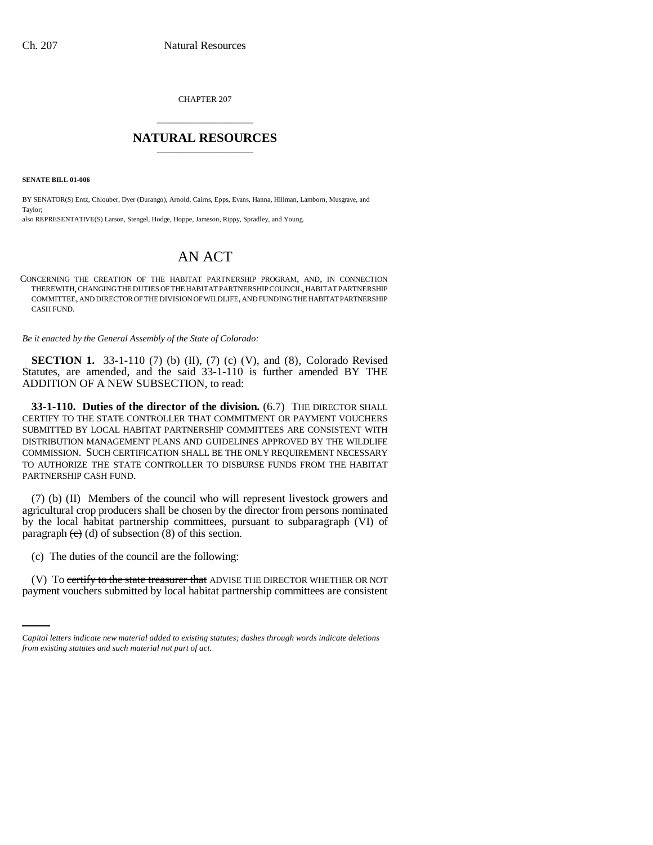CHAPTER 207 \_\_\_\_\_\_\_\_\_\_\_\_\_\_\_

## **NATURAL RESOURCES** \_\_\_\_\_\_\_\_\_\_\_\_\_\_\_

**SENATE BILL 01-006**

BY SENATOR(S) Entz, Chlouber, Dyer (Durango), Arnold, Cairns, Epps, Evans, Hanna, Hillman, Lamborn, Musgrave, and Taylor; also REPRESENTATIVE(S) Larson, Stengel, Hodge, Hoppe, Jameson, Rippy, Spradley, and Young.

# AN ACT

CONCERNING THE CREATION OF THE HABITAT PARTNERSHIP PROGRAM, AND, IN CONNECTION THEREWITH, CHANGING THE DUTIES OF THE HABITAT PARTNERSHIP COUNCIL, HABITAT PARTNERSHIP COMMITTEE, AND DIRECTOR OF THE DIVISION OF WILDLIFE, AND FUNDING THE HABITAT PARTNERSHIP CASH FUND.

*Be it enacted by the General Assembly of the State of Colorado:*

**SECTION 1.** 33-1-110 (7) (b) (II), (7) (c) (V), and (8), Colorado Revised Statutes, are amended, and the said 33-1-110 is further amended BY THE ADDITION OF A NEW SUBSECTION, to read:

**33-1-110. Duties of the director of the division.** (6.7) THE DIRECTOR SHALL CERTIFY TO THE STATE CONTROLLER THAT COMMITMENT OR PAYMENT VOUCHERS SUBMITTED BY LOCAL HABITAT PARTNERSHIP COMMITTEES ARE CONSISTENT WITH DISTRIBUTION MANAGEMENT PLANS AND GUIDELINES APPROVED BY THE WILDLIFE COMMISSION. SUCH CERTIFICATION SHALL BE THE ONLY REQUIREMENT NECESSARY TO AUTHORIZE THE STATE CONTROLLER TO DISBURSE FUNDS FROM THE HABITAT PARTNERSHIP CASH FUND.

(7) (b) (II) Members of the council who will represent livestock growers and agricultural crop producers shall be chosen by the director from persons nominated by the local habitat partnership committees, pursuant to subparagraph (VI) of paragraph  $(e)$  (d) of subsection  $(8)$  of this section.

(c) The duties of the council are the following:

(V) To <del>certify to the state treasurer that</del> ADVISE THE DIRECTOR WHETHER OR NOT payment vouchers submitted by local habitat partnership committees are consistent

*Capital letters indicate new material added to existing statutes; dashes through words indicate deletions from existing statutes and such material not part of act.*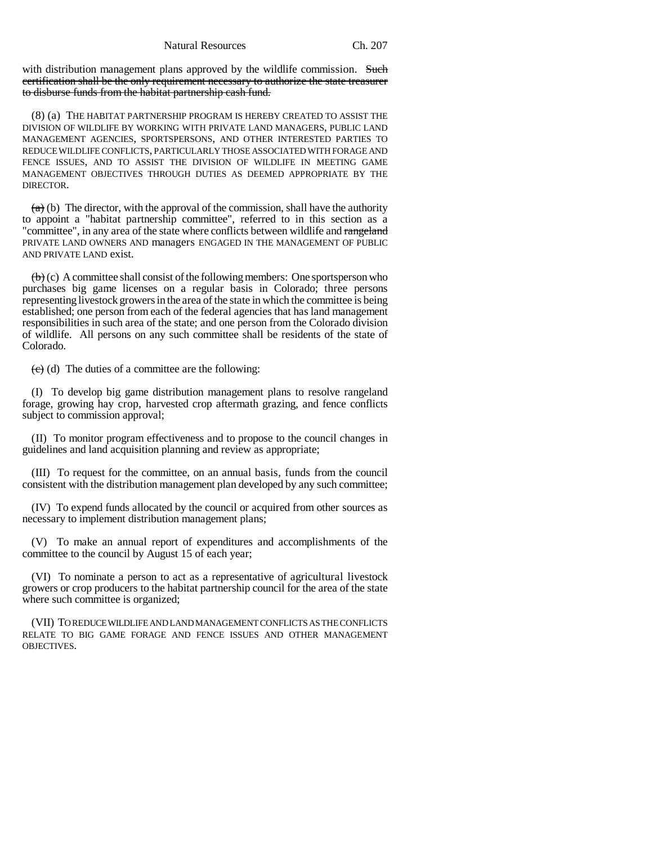with distribution management plans approved by the wildlife commission. Such certification shall be the only requirement necessary to authorize the state treasurer to disburse funds from the habitat partnership cash fund.

(8) (a) THE HABITAT PARTNERSHIP PROGRAM IS HEREBY CREATED TO ASSIST THE DIVISION OF WILDLIFE BY WORKING WITH PRIVATE LAND MANAGERS, PUBLIC LAND MANAGEMENT AGENCIES, SPORTSPERSONS, AND OTHER INTERESTED PARTIES TO REDUCE WILDLIFE CONFLICTS, PARTICULARLY THOSE ASSOCIATED WITH FORAGE AND FENCE ISSUES, AND TO ASSIST THE DIVISION OF WILDLIFE IN MEETING GAME MANAGEMENT OBJECTIVES THROUGH DUTIES AS DEEMED APPROPRIATE BY THE DIRECTOR.

 $(a)$  (b) The director, with the approval of the commission, shall have the authority to appoint a "habitat partnership committee", referred to in this section as a "committee", in any area of the state where conflicts between wildlife and rangeland PRIVATE LAND OWNERS AND managers ENGAGED IN THE MANAGEMENT OF PUBLIC AND PRIVATE LAND exist.

 $\left(\frac{b}{c}\right)$  (c) A committee shall consist of the following members: One sportsperson who purchases big game licenses on a regular basis in Colorado; three persons representing livestock growers in the area of the state in which the committee is being established; one person from each of the federal agencies that has land management responsibilities in such area of the state; and one person from the Colorado division of wildlife. All persons on any such committee shall be residents of the state of Colorado.

 $(e)$  (d) The duties of a committee are the following:

(I) To develop big game distribution management plans to resolve rangeland forage, growing hay crop, harvested crop aftermath grazing, and fence conflicts subject to commission approval;

(II) To monitor program effectiveness and to propose to the council changes in guidelines and land acquisition planning and review as appropriate;

(III) To request for the committee, on an annual basis, funds from the council consistent with the distribution management plan developed by any such committee;

(IV) To expend funds allocated by the council or acquired from other sources as necessary to implement distribution management plans;

(V) To make an annual report of expenditures and accomplishments of the committee to the council by August 15 of each year;

(VI) To nominate a person to act as a representative of agricultural livestock growers or crop producers to the habitat partnership council for the area of the state where such committee is organized;

(VII) TO REDUCE WILDLIFE AND LAND MANAGEMENT CONFLICTS AS THE CONFLICTS RELATE TO BIG GAME FORAGE AND FENCE ISSUES AND OTHER MANAGEMENT OBJECTIVES.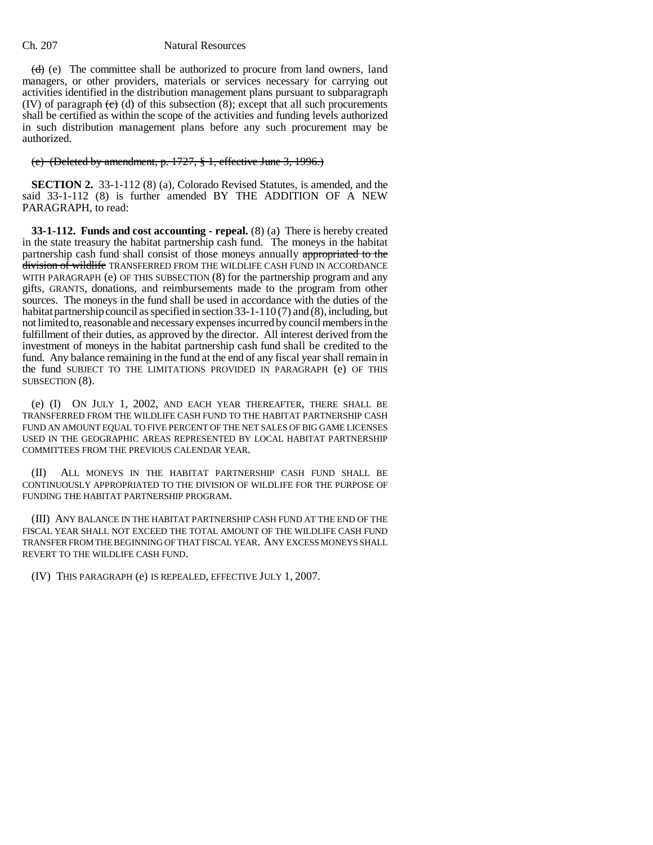### Ch. 207 Natural Resources

 $(d)$  (e) The committee shall be authorized to procure from land owners, land managers, or other providers, materials or services necessary for carrying out activities identified in the distribution management plans pursuant to subparagraph (IV) of paragraph  $\left(\frac{e}{e}\right)$  (d) of this subsection (8); except that all such procurements shall be certified as within the scope of the activities and funding levels authorized in such distribution management plans before any such procurement may be authorized.

### (e) (Deleted by amendment, p. 1727, § 1, effective June 3, 1996.)

**SECTION 2.** 33-1-112 (8) (a), Colorado Revised Statutes, is amended, and the said 33-1-112 (8) is further amended BY THE ADDITION OF A NEW PARAGRAPH, to read:

**33-1-112. Funds and cost accounting - repeal.** (8) (a) There is hereby created in the state treasury the habitat partnership cash fund. The moneys in the habitat partnership cash fund shall consist of those moneys annually appropriated to the division of wildlife TRANSFERRED FROM THE WILDLIFE CASH FUND IN ACCORDANCE WITH PARAGRAPH (e) OF THIS SUBSECTION (8) for the partnership program and any gifts, GRANTS, donations, and reimbursements made to the program from other sources. The moneys in the fund shall be used in accordance with the duties of the habitat partnership council as specified in section 33-1-110 (7) and (8), including, but not limited to, reasonable and necessary expenses incurred by council members in the fulfillment of their duties, as approved by the director. All interest derived from the investment of moneys in the habitat partnership cash fund shall be credited to the fund. Any balance remaining in the fund at the end of any fiscal year shall remain in the fund SUBJECT TO THE LIMITATIONS PROVIDED IN PARAGRAPH (e) OF THIS SUBSECTION (8).

(e) (I) ON JULY 1, 2002, AND EACH YEAR THEREAFTER, THERE SHALL BE TRANSFERRED FROM THE WILDLIFE CASH FUND TO THE HABITAT PARTNERSHIP CASH FUND AN AMOUNT EQUAL TO FIVE PERCENT OF THE NET SALES OF BIG GAME LICENSES USED IN THE GEOGRAPHIC AREAS REPRESENTED BY LOCAL HABITAT PARTNERSHIP COMMITTEES FROM THE PREVIOUS CALENDAR YEAR.

(II) ALL MONEYS IN THE HABITAT PARTNERSHIP CASH FUND SHALL BE CONTINUOUSLY APPROPRIATED TO THE DIVISION OF WILDLIFE FOR THE PURPOSE OF FUNDING THE HABITAT PARTNERSHIP PROGRAM.

(III) ANY BALANCE IN THE HABITAT PARTNERSHIP CASH FUND AT THE END OF THE FISCAL YEAR SHALL NOT EXCEED THE TOTAL AMOUNT OF THE WILDLIFE CASH FUND TRANSFER FROM THE BEGINNING OF THAT FISCAL YEAR. ANY EXCESS MONEYS SHALL REVERT TO THE WILDLIFE CASH FUND.

(IV) THIS PARAGRAPH (e) IS REPEALED, EFFECTIVE JULY 1, 2007.